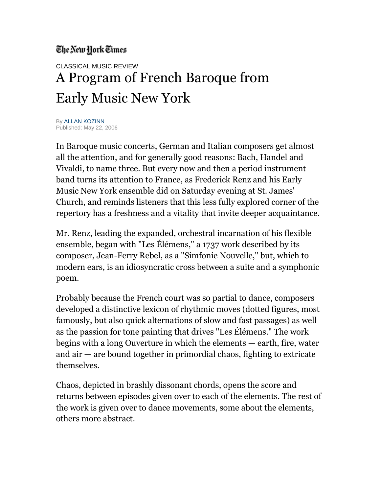## The New York Times

## CLASSICAL MUSIC REVIEW A Program of French Baroque from Early Music New York

By [ALLAN KOZINN](http://topics.nytimes.com/top/reference/timestopics/people/k/allan_kozinn/index.html?inline=nyt-per) Published: May 22, 2006

In Baroque music concerts, German and Italian composers get almost all the attention, and for generally good reasons: Bach, Handel and Vivaldi, to name three. But every now and then a period instrument band turns its attention to France, as Frederick Renz and his Early Music New York ensemble did on Saturday evening at St. James' Church, and reminds listeners that this less fully explored corner of the repertory has a freshness and a vitality that invite deeper acquaintance.

Mr. Renz, leading the expanded, orchestral incarnation of his flexible ensemble, began with "Les Élémens," a 1737 work described by its composer, Jean-Ferry Rebel, as a "Simfonie Nouvelle," but, which to modern ears, is an idiosyncratic cross between a suite and a symphonic poem.

Probably because the French court was so partial to dance, composers developed a distinctive lexicon of rhythmic moves (dotted figures, most famously, but also quick alternations of slow and fast passages) as well as the passion for tone painting that drives "Les Élémens." The work begins with a long Ouverture in which the elements — earth, fire, water and air — are bound together in primordial chaos, fighting to extricate themselves.

Chaos, depicted in brashly dissonant chords, opens the score and returns between episodes given over to each of the elements. The rest of the work is given over to dance movements, some about the elements, others more abstract.